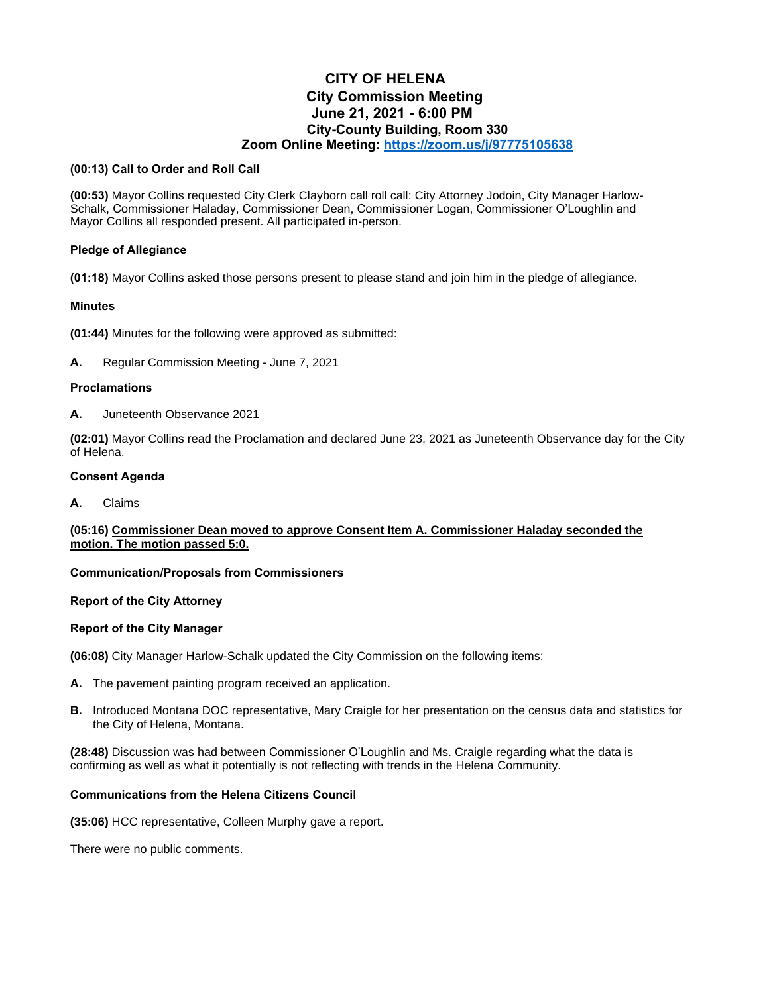# **CITY OF HELENA City Commission Meeting June 21, 2021 - 6:00 PM City-County Building, Room 330 Zoom Online Meeting:<https://zoom.us/j/97775105638>**

## **(00:13) Call to Order and Roll Call**

**(00:53)** Mayor Collins requested City Clerk Clayborn call roll call: City Attorney Jodoin, City Manager Harlow-Schalk, Commissioner Haladay, Commissioner Dean, Commissioner Logan, Commissioner O'Loughlin and Mayor Collins all responded present. All participated in-person.

## **Pledge of Allegiance**

**(01:18)** Mayor Collins asked those persons present to please stand and join him in the pledge of allegiance.

## **Minutes**

**(01:44)** Minutes for the following were approved as submitted:

**A.** Regular Commission Meeting - June 7, 2021

## **Proclamations**

**A.** Juneteenth Observance 2021

**(02:01)** Mayor Collins read the Proclamation and declared June 23, 2021 as Juneteenth Observance day for the City of Helena.

#### **Consent Agenda**

**A.** Claims

# **(05:16) Commissioner Dean moved to approve Consent Item A. Commissioner Haladay seconded the motion. The motion passed 5:0.**

# **Communication/Proposals from Commissioners**

# **Report of the City Attorney**

# **Report of the City Manager**

**(06:08)** City Manager Harlow-Schalk updated the City Commission on the following items:

- **A.** The pavement painting program received an application.
- **B.** Introduced Montana DOC representative, Mary Craigle for her presentation on the census data and statistics for the City of Helena, Montana.

**(28:48)** Discussion was had between Commissioner O'Loughlin and Ms. Craigle regarding what the data is confirming as well as what it potentially is not reflecting with trends in the Helena Community.

### **Communications from the Helena Citizens Council**

**(35:06)** HCC representative, Colleen Murphy gave a report.

There were no public comments.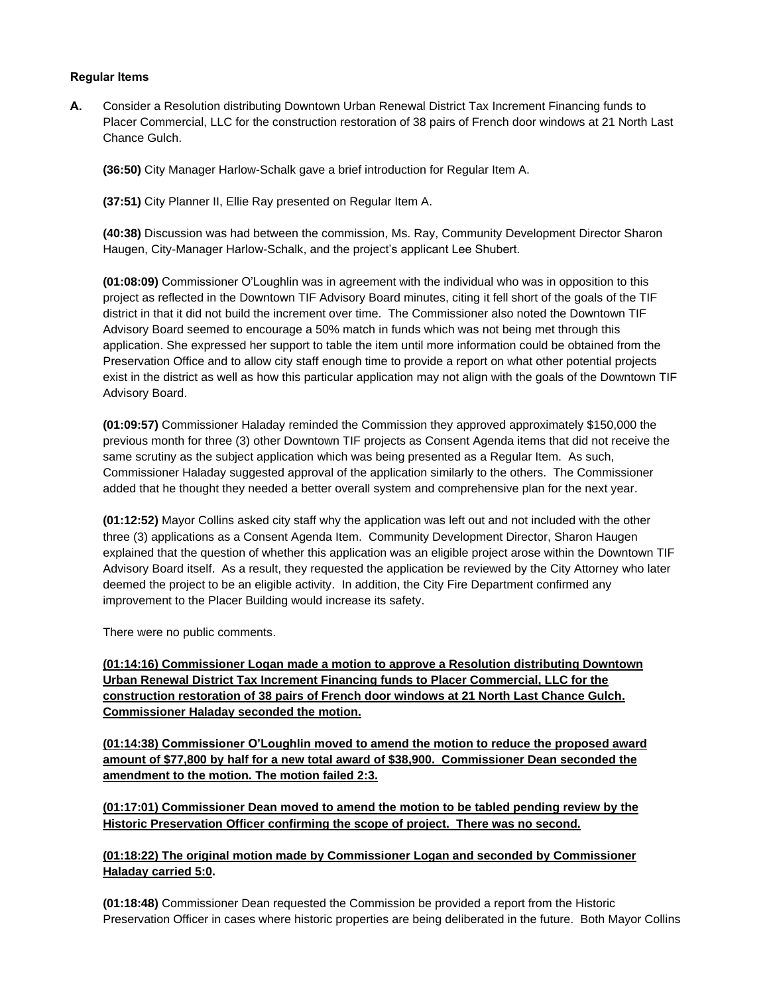## **Regular Items**

**A.** Consider a Resolution distributing Downtown Urban Renewal District Tax Increment Financing funds to Placer Commercial, LLC for the construction restoration of 38 pairs of French door windows at 21 North Last Chance Gulch.

**(36:50)** City Manager Harlow-Schalk gave a brief introduction for Regular Item A.

**(37:51)** City Planner II, Ellie Ray presented on Regular Item A.

**(40:38)** Discussion was had between the commission, Ms. Ray, Community Development Director Sharon Haugen, City-Manager Harlow-Schalk, and the project's applicant Lee Shubert.

**(01:08:09)** Commissioner O'Loughlin was in agreement with the individual who was in opposition to this project as reflected in the Downtown TIF Advisory Board minutes, citing it fell short of the goals of the TIF district in that it did not build the increment over time. The Commissioner also noted the Downtown TIF Advisory Board seemed to encourage a 50% match in funds which was not being met through this application. She expressed her support to table the item until more information could be obtained from the Preservation Office and to allow city staff enough time to provide a report on what other potential projects exist in the district as well as how this particular application may not align with the goals of the Downtown TIF Advisory Board.

**(01:09:57)** Commissioner Haladay reminded the Commission they approved approximately \$150,000 the previous month for three (3) other Downtown TIF projects as Consent Agenda items that did not receive the same scrutiny as the subject application which was being presented as a Regular Item. As such, Commissioner Haladay suggested approval of the application similarly to the others. The Commissioner added that he thought they needed a better overall system and comprehensive plan for the next year.

**(01:12:52)** Mayor Collins asked city staff why the application was left out and not included with the other three (3) applications as a Consent Agenda Item. Community Development Director, Sharon Haugen explained that the question of whether this application was an eligible project arose within the Downtown TIF Advisory Board itself. As a result, they requested the application be reviewed by the City Attorney who later deemed the project to be an eligible activity. In addition, the City Fire Department confirmed any improvement to the Placer Building would increase its safety.

There were no public comments.

**(01:14:16) Commissioner Logan made a motion to approve a Resolution distributing Downtown Urban Renewal District Tax Increment Financing funds to Placer Commercial, LLC for the construction restoration of 38 pairs of French door windows at 21 North Last Chance Gulch. Commissioner Haladay seconded the motion.** 

**(01:14:38) Commissioner O'Loughlin moved to amend the motion to reduce the proposed award amount of \$77,800 by half for a new total award of \$38,900. Commissioner Dean seconded the amendment to the motion. The motion failed 2:3.**

**(01:17:01) Commissioner Dean moved to amend the motion to be tabled pending review by the Historic Preservation Officer confirming the scope of project. There was no second.**

# **(01:18:22) The original motion made by Commissioner Logan and seconded by Commissioner Haladay carried 5:0.**

**(01:18:48)** Commissioner Dean requested the Commission be provided a report from the Historic Preservation Officer in cases where historic properties are being deliberated in the future. Both Mayor Collins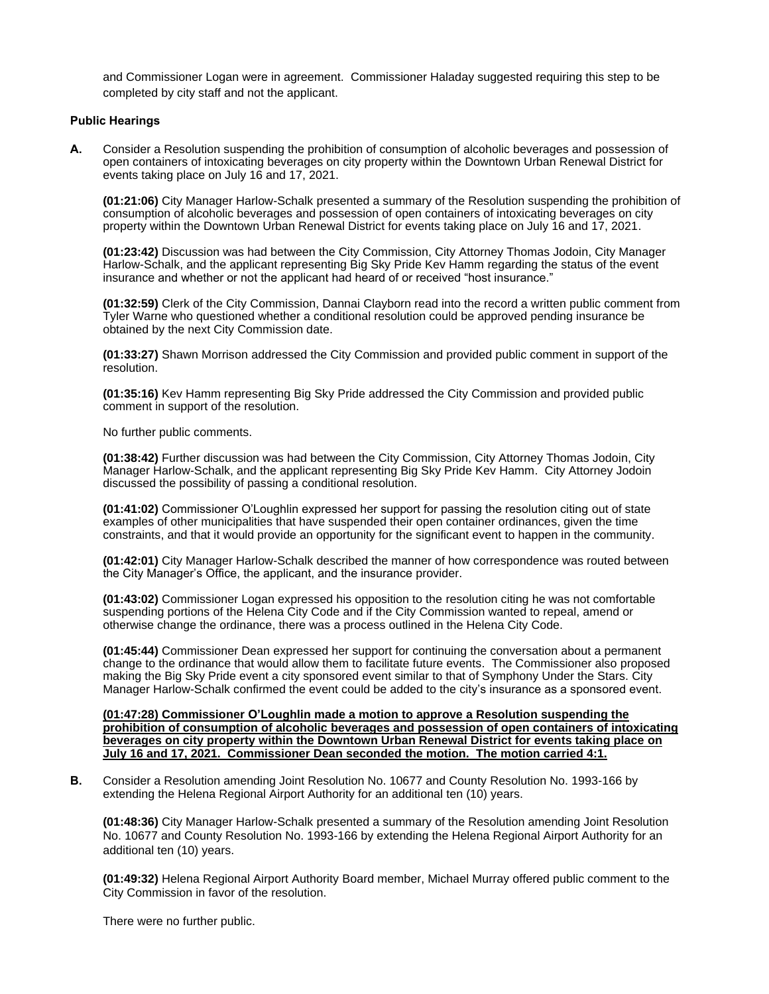and Commissioner Logan were in agreement. Commissioner Haladay suggested requiring this step to be completed by city staff and not the applicant.

#### **Public Hearings**

**A.** Consider a Resolution suspending the prohibition of consumption of alcoholic beverages and possession of open containers of intoxicating beverages on city property within the Downtown Urban Renewal District for events taking place on July 16 and 17, 2021.

**(01:21:06)** City Manager Harlow-Schalk presented a summary of the Resolution suspending the prohibition of consumption of alcoholic beverages and possession of open containers of intoxicating beverages on city property within the Downtown Urban Renewal District for events taking place on July 16 and 17, 2021.

**(01:23:42)** Discussion was had between the City Commission, City Attorney Thomas Jodoin, City Manager Harlow-Schalk, and the applicant representing Big Sky Pride Kev Hamm regarding the status of the event insurance and whether or not the applicant had heard of or received "host insurance."

**(01:32:59)** Clerk of the City Commission, Dannai Clayborn read into the record a written public comment from Tyler Warne who questioned whether a conditional resolution could be approved pending insurance be obtained by the next City Commission date.

**(01:33:27)** Shawn Morrison addressed the City Commission and provided public comment in support of the resolution.

**(01:35:16)** Kev Hamm representing Big Sky Pride addressed the City Commission and provided public comment in support of the resolution.

No further public comments.

**(01:38:42)** Further discussion was had between the City Commission, City Attorney Thomas Jodoin, City Manager Harlow-Schalk, and the applicant representing Big Sky Pride Kev Hamm. City Attorney Jodoin discussed the possibility of passing a conditional resolution.

**(01:41:02)** Commissioner O'Loughlin expressed her support for passing the resolution citing out of state examples of other municipalities that have suspended their open container ordinances, given the time constraints, and that it would provide an opportunity for the significant event to happen in the community.

**(01:42:01)** City Manager Harlow-Schalk described the manner of how correspondence was routed between the City Manager's Office, the applicant, and the insurance provider.

**(01:43:02)** Commissioner Logan expressed his opposition to the resolution citing he was not comfortable suspending portions of the Helena City Code and if the City Commission wanted to repeal, amend or otherwise change the ordinance, there was a process outlined in the Helena City Code.

**(01:45:44)** Commissioner Dean expressed her support for continuing the conversation about a permanent change to the ordinance that would allow them to facilitate future events. The Commissioner also proposed making the Big Sky Pride event a city sponsored event similar to that of Symphony Under the Stars. City Manager Harlow-Schalk confirmed the event could be added to the city's insurance as a sponsored event.

**(01:47:28) Commissioner O'Loughlin made a motion to approve a Resolution suspending the prohibition of consumption of alcoholic beverages and possession of open containers of intoxicating beverages on city property within the Downtown Urban Renewal District for events taking place on July 16 and 17, 2021. Commissioner Dean seconded the motion. The motion carried 4:1.**

**B.** Consider a Resolution amending Joint Resolution No. 10677 and County Resolution No. 1993-166 by extending the Helena Regional Airport Authority for an additional ten (10) years.

**(01:48:36)** City Manager Harlow-Schalk presented a summary of the Resolution amending Joint Resolution No. 10677 and County Resolution No. 1993-166 by extending the Helena Regional Airport Authority for an additional ten (10) years.

**(01:49:32)** Helena Regional Airport Authority Board member, Michael Murray offered public comment to the City Commission in favor of the resolution.

There were no further public.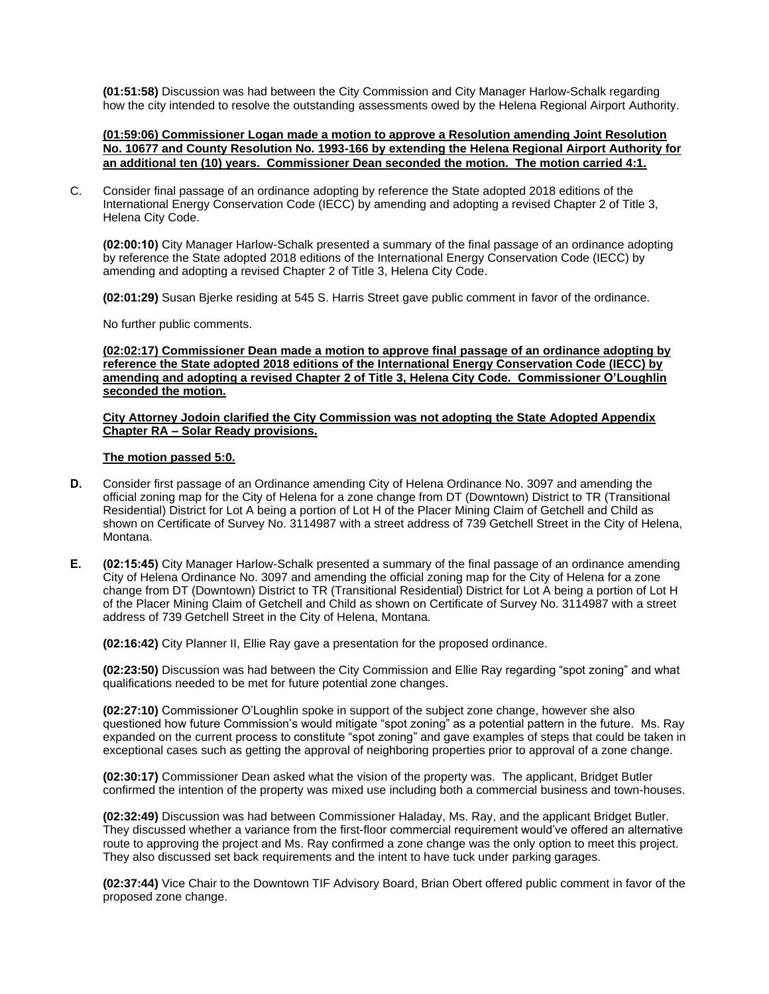**(01:51:58)** Discussion was had between the City Commission and City Manager Harlow-Schalk regarding how the city intended to resolve the outstanding assessments owed by the Helena Regional Airport Authority.

**(01:59:06) Commissioner Logan made a motion to approve a Resolution amending Joint Resolution No. 10677 and County Resolution No. 1993-166 by extending the Helena Regional Airport Authority for an additional ten (10) years. Commissioner Dean seconded the motion. The motion carried 4:1.**

C. Consider final passage of an ordinance adopting by reference the State adopted 2018 editions of the International Energy Conservation Code (IECC) by amending and adopting a revised Chapter 2 of Title 3, Helena City Code.

**(02:00:10)** City Manager Harlow-Schalk presented a summary of the final passage of an ordinance adopting by reference the State adopted 2018 editions of the International Energy Conservation Code (IECC) by amending and adopting a revised Chapter 2 of Title 3, Helena City Code.

**(02:01:29)** Susan Bjerke residing at 545 S. Harris Street gave public comment in favor of the ordinance.

No further public comments.

**(02:02:17) Commissioner Dean made a motion to approve final passage of an ordinance adopting by reference the State adopted 2018 editions of the International Energy Conservation Code (IECC) by amending and adopting a revised Chapter 2 of Title 3, Helena City Code. Commissioner O'Loughlin seconded the motion.** 

#### **City Attorney Jodoin clarified the City Commission was not adopting the State Adopted Appendix Chapter RA – Solar Ready provisions.**

#### **The motion passed 5:0.**

- **D.** Consider first passage of an Ordinance amending City of Helena Ordinance No. 3097 and amending the official zoning map for the City of Helena for a zone change from DT (Downtown) District to TR (Transitional Residential) District for Lot A being a portion of Lot H of the Placer Mining Claim of Getchell and Child as shown on Certificate of Survey No. 3114987 with a street address of 739 Getchell Street in the City of Helena, Montana.
- **E. (02:15:45)** City Manager Harlow-Schalk presented a summary of the final passage of an ordinance amending City of Helena Ordinance No. 3097 and amending the official zoning map for the City of Helena for a zone change from DT (Downtown) District to TR (Transitional Residential) District for Lot A being a portion of Lot H of the Placer Mining Claim of Getchell and Child as shown on Certificate of Survey No. 3114987 with a street address of 739 Getchell Street in the City of Helena, Montana.

**(02:16:42)** City Planner II, Ellie Ray gave a presentation for the proposed ordinance.

**(02:23:50)** Discussion was had between the City Commission and Ellie Ray regarding "spot zoning" and what qualifications needed to be met for future potential zone changes.

**(02:27:10)** Commissioner O'Loughlin spoke in support of the subject zone change, however she also questioned how future Commission's would mitigate "spot zoning" as a potential pattern in the future. Ms. Ray expanded on the current process to constitute "spot zoning" and gave examples of steps that could be taken in exceptional cases such as getting the approval of neighboring properties prior to approval of a zone change.

**(02:30:17)** Commissioner Dean asked what the vision of the property was. The applicant, Bridget Butler confirmed the intention of the property was mixed use including both a commercial business and town-houses.

**(02:32:49)** Discussion was had between Commissioner Haladay, Ms. Ray, and the applicant Bridget Butler. They discussed whether a variance from the first-floor commercial requirement would've offered an alternative route to approving the project and Ms. Ray confirmed a zone change was the only option to meet this project. They also discussed set back requirements and the intent to have tuck under parking garages.

**(02:37:44)** Vice Chair to the Downtown TIF Advisory Board, Brian Obert offered public comment in favor of the proposed zone change.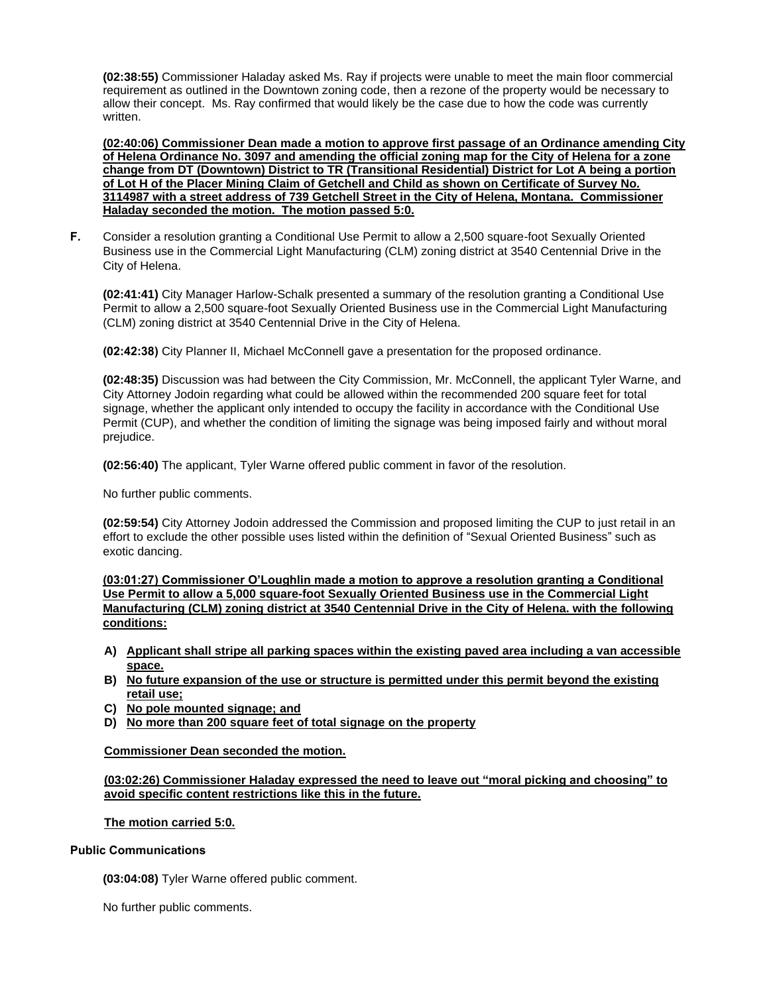**(02:38:55)** Commissioner Haladay asked Ms. Ray if projects were unable to meet the main floor commercial requirement as outlined in the Downtown zoning code, then a rezone of the property would be necessary to allow their concept. Ms. Ray confirmed that would likely be the case due to how the code was currently written.

**(02:40:06) Commissioner Dean made a motion to approve first passage of an Ordinance amending City of Helena Ordinance No. 3097 and amending the official zoning map for the City of Helena for a zone change from DT (Downtown) District to TR (Transitional Residential) District for Lot A being a portion of Lot H of the Placer Mining Claim of Getchell and Child as shown on Certificate of Survey No. 3114987 with a street address of 739 Getchell Street in the City of Helena, Montana. Commissioner Haladay seconded the motion. The motion passed 5:0.**

**F.** Consider a resolution granting a Conditional Use Permit to allow a 2,500 square-foot Sexually Oriented Business use in the Commercial Light Manufacturing (CLM) zoning district at 3540 Centennial Drive in the City of Helena.

**(02:41:41)** City Manager Harlow-Schalk presented a summary of the resolution granting a Conditional Use Permit to allow a 2,500 square-foot Sexually Oriented Business use in the Commercial Light Manufacturing (CLM) zoning district at 3540 Centennial Drive in the City of Helena.

**(02:42:38)** City Planner II, Michael McConnell gave a presentation for the proposed ordinance.

**(02:48:35)** Discussion was had between the City Commission, Mr. McConnell, the applicant Tyler Warne, and City Attorney Jodoin regarding what could be allowed within the recommended 200 square feet for total signage, whether the applicant only intended to occupy the facility in accordance with the Conditional Use Permit (CUP), and whether the condition of limiting the signage was being imposed fairly and without moral prejudice.

**(02:56:40)** The applicant, Tyler Warne offered public comment in favor of the resolution.

No further public comments.

**(02:59:54)** City Attorney Jodoin addressed the Commission and proposed limiting the CUP to just retail in an effort to exclude the other possible uses listed within the definition of "Sexual Oriented Business" such as exotic dancing.

**(03:01:27) Commissioner O'Loughlin made a motion to approve a resolution granting a Conditional Use Permit to allow a 5,000 square-foot Sexually Oriented Business use in the Commercial Light Manufacturing (CLM) zoning district at 3540 Centennial Drive in the City of Helena. with the following conditions:**

- **A) Applicant shall stripe all parking spaces within the existing paved area including a van accessible space.**
- **B) No future expansion of the use or structure is permitted under this permit beyond the existing retail use;**
- **C) No pole mounted signage; and**
- **D) No more than 200 square feet of total signage on the property**

**Commissioner Dean seconded the motion.**

**(03:02:26) Commissioner Haladay expressed the need to leave out "moral picking and choosing" to avoid specific content restrictions like this in the future.** 

#### **The motion carried 5:0.**

#### **Public Communications**

**(03:04:08)** Tyler Warne offered public comment.

No further public comments.